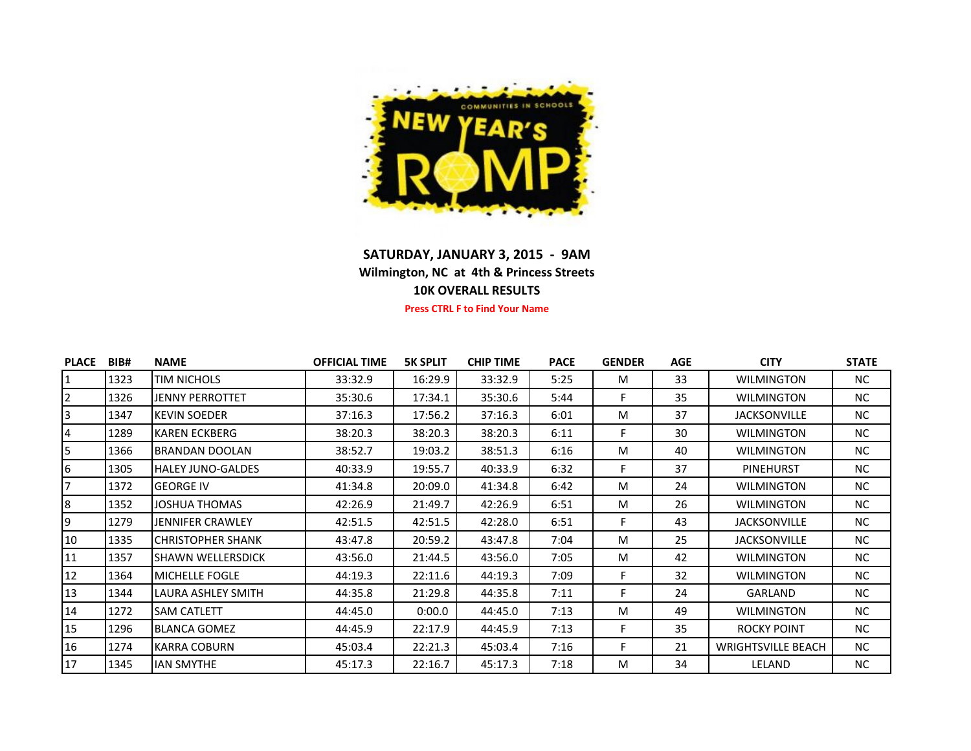

## **SATURDAY, JANUARY 3, 2015 - 9AM Wilmington, NC at 4th & Princess Streets 10K OVERALL RESULTS**

**Press CTRL F to Find Your Name**

| <b>PLACE</b> | BIB# | <b>NAME</b>              | <b>OFFICIAL TIME</b> | <b>5K SPLIT</b> | <b>CHIP TIME</b> | <b>PACE</b> | <b>GENDER</b> | <b>AGE</b> | <b>CITY</b>               | <b>STATE</b> |
|--------------|------|--------------------------|----------------------|-----------------|------------------|-------------|---------------|------------|---------------------------|--------------|
|              | 1323 | <b>TIM NICHOLS</b>       | 33:32.9              | 16:29.9         | 33:32.9          | 5:25        | M             | 33         | <b>WILMINGTON</b>         | <b>NC</b>    |
| 2            | 1326 | <b>JENNY PERROTTET</b>   | 35:30.6              | 17:34.1         | 35:30.6          | 5:44        | F             | 35         | <b>WILMINGTON</b>         | <b>NC</b>    |
| 3            | 1347 | IKEVIN SOEDER            | 37:16.3              | 17:56.2         | 37:16.3          | 6:01        | M             | 37         | <b>JACKSONVILLE</b>       | <b>NC</b>    |
| 4            | 1289 | <b>KAREN ECKBERG</b>     | 38:20.3              | 38:20.3         | 38:20.3          | 6:11        | F             | 30         | <b>WILMINGTON</b>         | <b>NC</b>    |
| 5.           | 1366 | BRANDAN DOOLAN           | 38:52.7              | 19:03.2         | 38:51.3          | 6:16        | M             | 40         | <b>WILMINGTON</b>         | NC.          |
| 6            | 1305 | <b>HALEY JUNO-GALDES</b> | 40:33.9              | 19:55.7         | 40:33.9          | 6:32        | F             | 37         | <b>PINEHURST</b>          | <b>NC</b>    |
|              | 1372 | <b>GEORGE IV</b>         | 41:34.8              | 20:09.0         | 41:34.8          | 6:42        | M             | 24         | <b>WILMINGTON</b>         | <b>NC</b>    |
| 8            | 1352 | <b>JOSHUA THOMAS</b>     | 42:26.9              | 21:49.7         | 42:26.9          | 6:51        | M             | 26         | <b>WILMINGTON</b>         | NC.          |
| 9            | 1279 | JENNIFER CRAWLEY         | 42:51.5              | 42:51.5         | 42:28.0          | 6:51        | F             | 43         | <b>JACKSONVILLE</b>       | NC.          |
| 10           | 1335 | <b>CHRISTOPHER SHANK</b> | 43:47.8              | 20:59.2         | 43:47.8          | 7:04        | M             | 25         | <b>JACKSONVILLE</b>       | <b>NC</b>    |
| 11           | 1357 | ISHAWN WELLERSDICK       | 43:56.0              | 21:44.5         | 43:56.0          | 7:05        | M             | 42         | <b>WILMINGTON</b>         | NC.          |
| 12           | 1364 | <b>MICHELLE FOGLE</b>    | 44:19.3              | 22:11.6         | 44:19.3          | 7:09        | F             | 32         | <b>WILMINGTON</b>         | <b>NC</b>    |
| 13           | 1344 | LAURA ASHLEY SMITH       | 44:35.8              | 21:29.8         | 44:35.8          | 7:11        | F             | 24         | GARLAND                   | <b>NC</b>    |
| 14           | 1272 | <b>SAM CATLETT</b>       | 44:45.0              | 0:00.0          | 44:45.0          | 7:13        | M             | 49         | <b>WILMINGTON</b>         | <b>NC</b>    |
| 15           | 1296 | <b>BLANCA GOMEZ</b>      | 44:45.9              | 22:17.9         | 44:45.9          | 7:13        | F             | 35         | <b>ROCKY POINT</b>        | <b>NC</b>    |
| 16           | 1274 | <b>KARRA COBURN</b>      | 45:03.4              | 22:21.3         | 45:03.4          | 7:16        | F             | 21         | <b>WRIGHTSVILLE BEACH</b> | <b>NC</b>    |
| 17           | 1345 | <b>IAN SMYTHE</b>        | 45:17.3              | 22:16.7         | 45:17.3          | 7:18        | M             | 34         | LELAND                    | NC.          |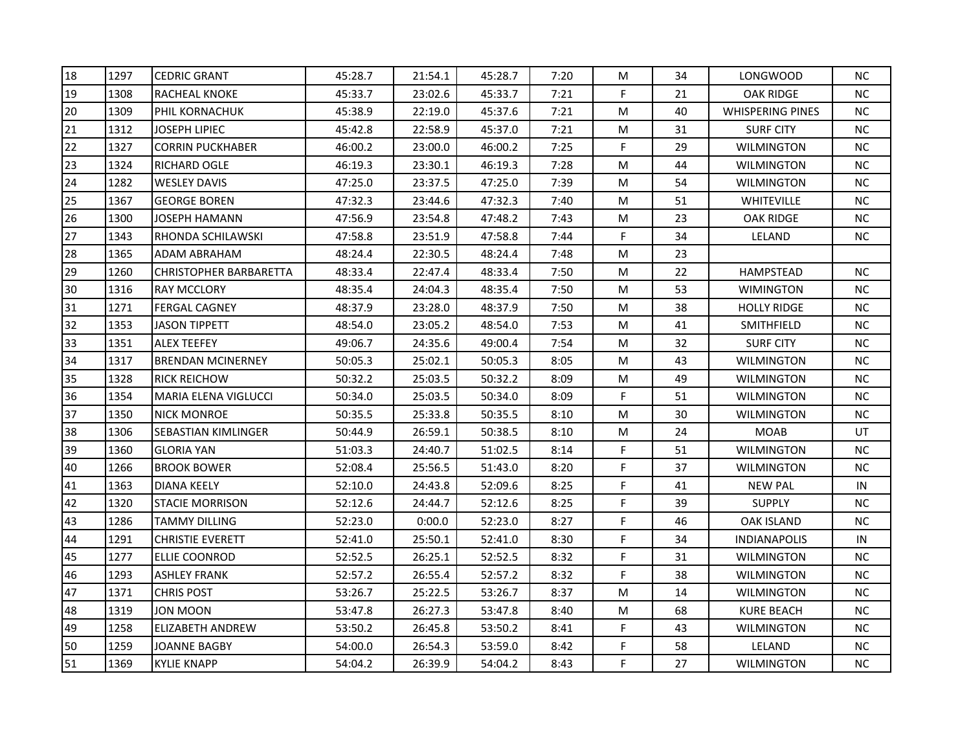| 18 | 1297 | <b>CEDRIC GRANT</b>           | 45:28.7 | 21:54.1 | 45:28.7 | 7:20 | M  | 34 | <b>LONGWOOD</b>         | <b>NC</b> |
|----|------|-------------------------------|---------|---------|---------|------|----|----|-------------------------|-----------|
| 19 | 1308 | <b>RACHEAL KNOKE</b>          | 45:33.7 | 23:02.6 | 45:33.7 | 7:21 | F. | 21 | <b>OAK RIDGE</b>        | NC.       |
| 20 | 1309 | PHIL KORNACHUK                | 45:38.9 | 22:19.0 | 45:37.6 | 7:21 | м  | 40 | <b>WHISPERING PINES</b> | <b>NC</b> |
| 21 | 1312 | JOSEPH LIPIEC                 | 45:42.8 | 22:58.9 | 45:37.0 | 7:21 | м  | 31 | <b>SURF CITY</b>        | <b>NC</b> |
| 22 | 1327 | CORRIN PUCKHABER              | 46:00.2 | 23:00.0 | 46:00.2 | 7:25 | F. | 29 | WILMINGTON              | <b>NC</b> |
| 23 | 1324 | RICHARD OGLE                  | 46:19.3 | 23:30.1 | 46:19.3 | 7:28 | м  | 44 | WILMINGTON              | <b>NC</b> |
| 24 | 1282 | <b>WESLEY DAVIS</b>           | 47:25.0 | 23:37.5 | 47:25.0 | 7:39 | M  | 54 | <b>WILMINGTON</b>       | <b>NC</b> |
| 25 | 1367 | <b>GEORGE BOREN</b>           | 47:32.3 | 23:44.6 | 47:32.3 | 7:40 | м  | 51 | <b>WHITEVILLE</b>       | <b>NC</b> |
| 26 | 1300 | JOSEPH HAMANN                 | 47:56.9 | 23:54.8 | 47:48.2 | 7:43 | м  | 23 | <b>OAK RIDGE</b>        | <b>NC</b> |
| 27 | 1343 | RHONDA SCHILAWSKI             | 47:58.8 | 23:51.9 | 47:58.8 | 7:44 | F  | 34 | LELAND                  | <b>NC</b> |
| 28 | 1365 | ADAM ABRAHAM                  | 48:24.4 | 22:30.5 | 48:24.4 | 7:48 | M  | 23 |                         |           |
| 29 | 1260 | <b>CHRISTOPHER BARBARETTA</b> | 48:33.4 | 22:47.4 | 48:33.4 | 7:50 | M  | 22 | <b>HAMPSTEAD</b>        | <b>NC</b> |
| 30 | 1316 | <b>RAY MCCLORY</b>            | 48:35.4 | 24:04.3 | 48:35.4 | 7:50 | м  | 53 | <b>WIMINGTON</b>        | <b>NC</b> |
| 31 | 1271 | <b>FERGAL CAGNEY</b>          | 48:37.9 | 23:28.0 | 48:37.9 | 7:50 | м  | 38 | <b>HOLLY RIDGE</b>      | <b>NC</b> |
| 32 | 1353 | <b>JASON TIPPETT</b>          | 48:54.0 | 23:05.2 | 48:54.0 | 7:53 | M  | 41 | SMITHFIELD              | <b>NC</b> |
| 33 | 1351 | <b>ALEX TEEFEY</b>            | 49:06.7 | 24:35.6 | 49:00.4 | 7:54 | M  | 32 | <b>SURF CITY</b>        | <b>NC</b> |
| 34 | 1317 | <b>BRENDAN MCINERNEY</b>      | 50:05.3 | 25:02.1 | 50:05.3 | 8:05 | M  | 43 | WILMINGTON              | <b>NC</b> |
| 35 | 1328 | <b>RICK REICHOW</b>           | 50:32.2 | 25:03.5 | 50:32.2 | 8:09 | M  | 49 | WILMINGTON              | <b>NC</b> |
| 36 | 1354 | <b>MARIA ELENA VIGLUCCI</b>   | 50:34.0 | 25:03.5 | 50:34.0 | 8:09 | F. | 51 | <b>WILMINGTON</b>       | <b>NC</b> |
| 37 | 1350 | <b>NICK MONROE</b>            | 50:35.5 | 25:33.8 | 50:35.5 | 8:10 | м  | 30 | <b>WILMINGTON</b>       | <b>NC</b> |
| 38 | 1306 | SEBASTIAN KIMLINGER           | 50:44.9 | 26:59.1 | 50:38.5 | 8:10 | м  | 24 | MOAB                    | UT        |
| 39 | 1360 | <b>GLORIA YAN</b>             | 51:03.3 | 24:40.7 | 51:02.5 | 8:14 | F. | 51 | <b>WILMINGTON</b>       | NC.       |
| 40 | 1266 | <b>BROOK BOWER</b>            | 52:08.4 | 25:56.5 | 51:43.0 | 8:20 | F  | 37 | <b>WILMINGTON</b>       | <b>NC</b> |
| 41 | 1363 | DIANA KEELY                   | 52:10.0 | 24:43.8 | 52:09.6 | 8:25 | F. | 41 | <b>NEW PAL</b>          | IN        |
| 42 | 1320 | <b>STACIE MORRISON</b>        | 52:12.6 | 24:44.7 | 52:12.6 | 8:25 | F  | 39 | <b>SUPPLY</b>           | NС        |
| 43 | 1286 | TAMMY DILLING                 | 52:23.0 | 0:00.0  | 52:23.0 | 8:27 | F  | 46 | OAK ISLAND              | <b>NC</b> |
| 44 | 1291 | <b>CHRISTIE EVERETT</b>       | 52:41.0 | 25:50.1 | 52:41.0 | 8:30 | F  | 34 | <b>INDIANAPOLIS</b>     | IN        |
| 45 | 1277 | <b>ELLIE COONROD</b>          | 52:52.5 | 26:25.1 | 52:52.5 | 8:32 | F  | 31 | <b>WILMINGTON</b>       | <b>NC</b> |
| 46 | 1293 | <b>ASHLEY FRANK</b>           | 52:57.2 | 26:55.4 | 52:57.2 | 8:32 | F  | 38 | <b>WILMINGTON</b>       | <b>NC</b> |
| 47 | 1371 | <b>CHRIS POST</b>             | 53:26.7 | 25:22.5 | 53:26.7 | 8:37 | M  | 14 | WILMINGTON              | <b>NC</b> |
| 48 | 1319 | JON MOON                      | 53:47.8 | 26:27.3 | 53:47.8 | 8:40 | M  | 68 | KURE BEACH              | <b>NC</b> |
| 49 | 1258 | <b>ELIZABETH ANDREW</b>       | 53:50.2 | 26:45.8 | 53:50.2 | 8:41 | F  | 43 | <b>WILMINGTON</b>       | <b>NC</b> |
| 50 | 1259 | JOANNE BAGBY                  | 54:00.0 | 26:54.3 | 53:59.0 | 8:42 | F. | 58 | LELAND                  | <b>NC</b> |
| 51 | 1369 | <b>KYLIE KNAPP</b>            | 54:04.2 | 26:39.9 | 54:04.2 | 8:43 | F. | 27 | <b>WILMINGTON</b>       | NC.       |
|    |      |                               |         |         |         |      |    |    |                         |           |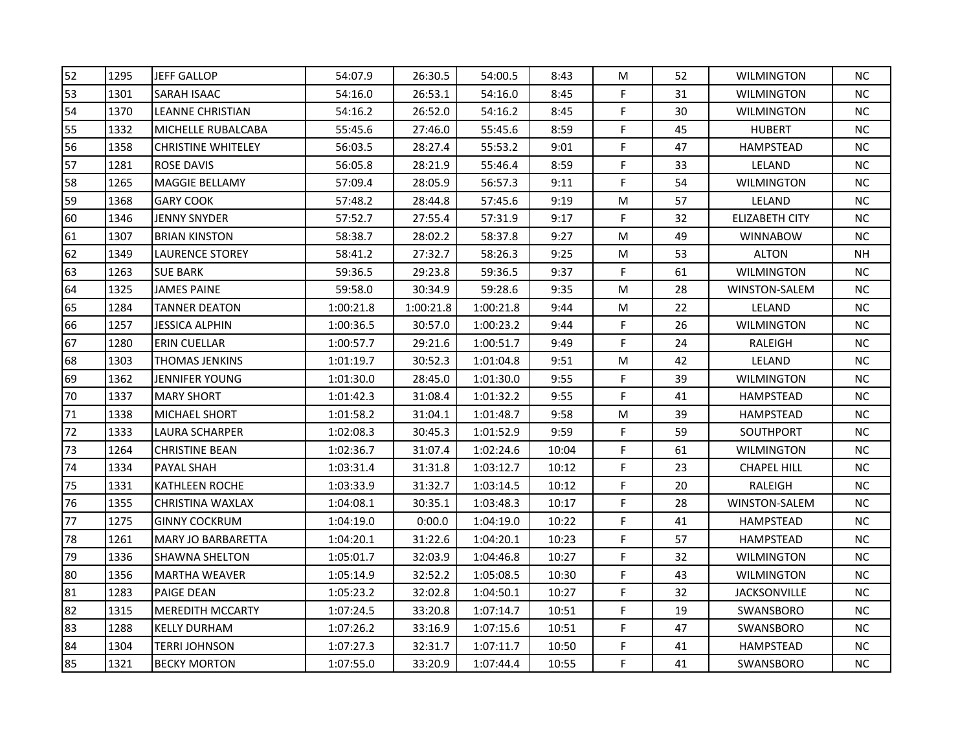| 52 | 1295 | <b>JEFF GALLOP</b>        | 54:07.9   | 26:30.5   | 54:00.5   | 8:43  | М  | 52 | <b>WILMINGTON</b>   | <b>NC</b> |
|----|------|---------------------------|-----------|-----------|-----------|-------|----|----|---------------------|-----------|
| 53 | 1301 | <b>SARAH ISAAC</b>        | 54:16.0   | 26:53.1   | 54:16.0   | 8:45  | F. | 31 | <b>WILMINGTON</b>   | NC.       |
| 54 | 1370 | LEANNE CHRISTIAN          | 54:16.2   | 26:52.0   | 54:16.2   | 8:45  | F. | 30 | <b>WILMINGTON</b>   | <b>NC</b> |
| 55 | 1332 | MICHELLE RUBALCABA        | 55:45.6   | 27:46.0   | 55:45.6   | 8:59  | F. | 45 | <b>HUBERT</b>       | <b>NC</b> |
| 56 | 1358 | <b>CHRISTINE WHITELEY</b> | 56:03.5   | 28:27.4   | 55:53.2   | 9:01  | F  | 47 | HAMPSTEAD           | <b>NC</b> |
| 57 | 1281 | <b>ROSE DAVIS</b>         | 56:05.8   | 28:21.9   | 55:46.4   | 8:59  | F. | 33 | LELAND              | <b>NC</b> |
| 58 | 1265 | <b>MAGGIE BELLAMY</b>     | 57:09.4   | 28:05.9   | 56:57.3   | 9:11  | F  | 54 | <b>WILMINGTON</b>   | <b>NC</b> |
| 59 | 1368 | <b>GARY COOK</b>          | 57:48.2   | 28:44.8   | 57:45.6   | 9:19  | М  | 57 | LELAND              | <b>NC</b> |
| 60 | 1346 | <b>JENNY SNYDER</b>       | 57:52.7   | 27:55.4   | 57:31.9   | 9:17  | F. | 32 | ELIZABETH CITY      | <b>NC</b> |
| 61 | 1307 | <b>BRIAN KINSTON</b>      | 58:38.7   | 28:02.2   | 58:37.8   | 9:27  | М  | 49 | <b>WINNABOW</b>     | <b>NC</b> |
| 62 | 1349 | <b>LAURENCE STOREY</b>    | 58:41.2   | 27:32.7   | 58:26.3   | 9:25  | М  | 53 | <b>ALTON</b>        | NΗ        |
| 63 | 1263 | <b>SUE BARK</b>           | 59:36.5   | 29:23.8   | 59:36.5   | 9:37  | F. | 61 | <b>WILMINGTON</b>   | <b>NC</b> |
| 64 | 1325 | <b>JAMES PAINE</b>        | 59:58.0   | 30:34.9   | 59:28.6   | 9:35  | м  | 28 | WINSTON-SALEM       | <b>NC</b> |
| 65 | 1284 | <b>TANNER DEATON</b>      | 1:00:21.8 | 1:00:21.8 | 1:00:21.8 | 9:44  | М  | 22 | LELAND              | <b>NC</b> |
| 66 | 1257 | JESSICA ALPHIN            | 1:00:36.5 | 30:57.0   | 1:00:23.2 | 9:44  | F. | 26 | <b>WILMINGTON</b>   | <b>NC</b> |
| 67 | 1280 | ERIN CUELLAR              | 1:00:57.7 | 29:21.6   | 1:00:51.7 | 9:49  | F  | 24 | RALEIGH             | <b>NC</b> |
| 68 | 1303 | <b>THOMAS JENKINS</b>     | 1:01:19.7 | 30:52.3   | 1:01:04.8 | 9:51  | М  | 42 | LELAND              | <b>NC</b> |
| 69 | 1362 | <b>JENNIFER YOUNG</b>     | 1:01:30.0 | 28:45.0   | 1:01:30.0 | 9:55  | F. | 39 | WILMINGTON          | <b>NC</b> |
| 70 | 1337 | <b>MARY SHORT</b>         | 1:01:42.3 | 31:08.4   | 1:01:32.2 | 9:55  | F. | 41 | HAMPSTEAD           | <b>NC</b> |
| 71 | 1338 | <b>MICHAEL SHORT</b>      | 1:01:58.2 | 31:04.1   | 1:01:48.7 | 9:58  | M  | 39 | <b>HAMPSTEAD</b>    | <b>NC</b> |
| 72 | 1333 | LAURA SCHARPER            | 1:02:08.3 | 30:45.3   | 1:01:52.9 | 9:59  | F  | 59 | SOUTHPORT           | <b>NC</b> |
| 73 | 1264 | <b>CHRISTINE BEAN</b>     | 1:02:36.7 | 31:07.4   | 1:02:24.6 | 10:04 | F. | 61 | WILMINGTON          | NC.       |
| 74 | 1334 | <b>PAYAL SHAH</b>         | 1:03:31.4 | 31:31.8   | 1:03:12.7 | 10:12 | F  | 23 | <b>CHAPEL HILL</b>  | <b>NC</b> |
| 75 | 1331 | <b>KATHLEEN ROCHE</b>     | 1:03:33.9 | 31:32.7   | 1:03:14.5 | 10:12 | F. | 20 | RALEIGH             | <b>NC</b> |
| 76 | 1355 | CHRISTINA WAXLAX          | 1:04:08.1 | 30:35.1   | 1:03:48.3 | 10:17 | F. | 28 | WINSTON-SALEM       | NС        |
| 77 | 1275 | <b>GINNY COCKRUM</b>      | 1:04:19.0 | 0:00.0    | 1:04:19.0 | 10:22 | F  | 41 | <b>HAMPSTEAD</b>    | <b>NC</b> |
| 78 | 1261 | <b>MARY JO BARBARETTA</b> | 1:04:20.1 | 31:22.6   | 1:04:20.1 | 10:23 | F  | 57 | HAMPSTEAD           | <b>NC</b> |
| 79 | 1336 | <b>SHAWNA SHELTON</b>     | 1:05:01.7 | 32:03.9   | 1:04:46.8 | 10:27 | F  | 32 | <b>WILMINGTON</b>   | <b>NC</b> |
| 80 | 1356 | <b>MARTHA WEAVER</b>      | 1:05:14.9 | 32:52.2   | 1:05:08.5 | 10:30 | F  | 43 | <b>WILMINGTON</b>   | <b>NC</b> |
| 81 | 1283 | <b>PAIGE DEAN</b>         | 1:05:23.2 | 32:02.8   | 1:04:50.1 | 10:27 | F  | 32 | <b>JACKSONVILLE</b> | <b>NC</b> |
| 82 | 1315 | <b>MEREDITH MCCARTY</b>   | 1:07:24.5 | 33:20.8   | 1:07:14.7 | 10:51 | F  | 19 | SWANSBORO           | <b>NC</b> |
| 83 | 1288 | <b>KELLY DURHAM</b>       | 1:07:26.2 | 33:16.9   | 1:07:15.6 | 10:51 | F  | 47 | SWANSBORO           | <b>NC</b> |
| 84 | 1304 | <b>TERRI JOHNSON</b>      | 1:07:27.3 | 32:31.7   | 1:07:11.7 | 10:50 | F. | 41 | HAMPSTEAD           | <b>NC</b> |
| 85 | 1321 | <b>BECKY MORTON</b>       | 1:07:55.0 | 33:20.9   | 1:07:44.4 | 10:55 | F  | 41 | SWANSBORO           | NC.       |
|    |      |                           |           |           |           |       |    |    |                     |           |